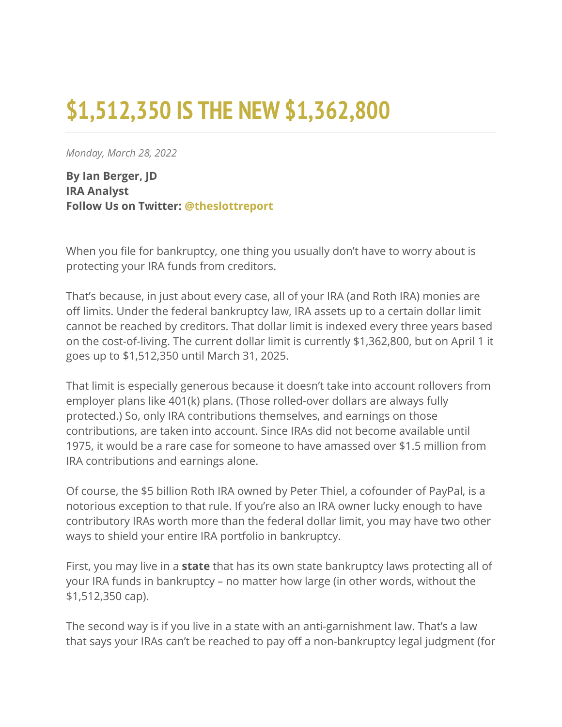## **\$1,512,350 IS THE NEW \$1,362,800**

*Monday, March 28, 2022*

**By Ian Berger, JD IRA Analyst Follow Us on Twitter: [@theslottreport](https://twitter.com/theslottreport)**

When you file for bankruptcy, one thing you usually don't have to worry about is protecting your IRA funds from creditors.

That's because, in just about every case, all of your IRA (and Roth IRA) monies are off limits. Under the federal bankruptcy law, IRA assets up to a certain dollar limit cannot be reached by creditors. That dollar limit is indexed every three years based on the cost-of-living. The current dollar limit is currently \$1,362,800, but on April 1 it goes up to \$1,512,350 until March 31, 2025.

That limit is especially generous because it doesn't take into account rollovers from employer plans like 401(k) plans. (Those rolled-over dollars are always fully protected.) So, only IRA contributions themselves, and earnings on those contributions, are taken into account. Since IRAs did not become available until 1975, it would be a rare case for someone to have amassed over \$1.5 million from IRA contributions and earnings alone.

Of course, the \$5 billion Roth IRA owned by Peter Thiel, a cofounder of PayPal, is a notorious exception to that rule. If you're also an IRA owner lucky enough to have contributory IRAs worth more than the federal dollar limit, you may have two other ways to shield your entire IRA portfolio in bankruptcy.

First, you may live in a **state** that has its own state bankruptcy laws protecting all of your IRA funds in bankruptcy – no matter how large (in other words, without the \$1,512,350 cap).

The second way is if you live in a state with an anti-garnishment law. That's a law that says your IRAs can't be reached to pay off a non-bankruptcy legal judgment (for